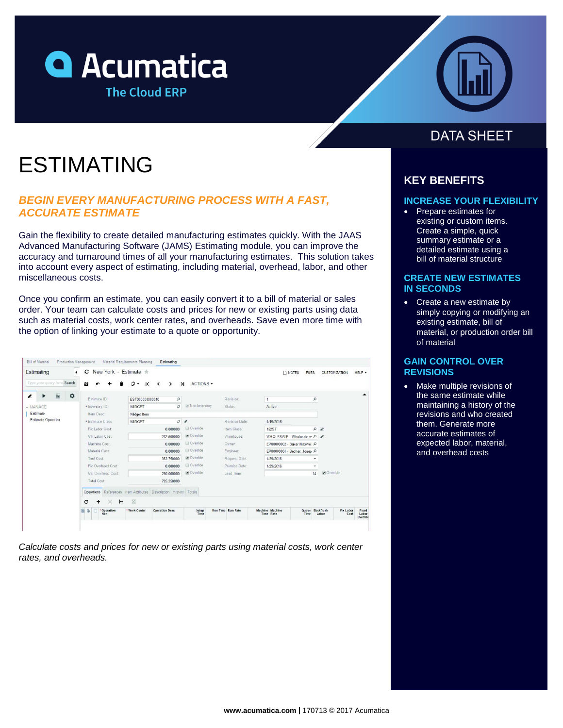



# ESTIMATING

## *BEGIN EVERY MANUFACTURING PROCESS WITH A FAST, ACCURATE ESTIMATE*

Gain the flexibility to create detailed manufacturing estimates quickly. With the JAAS Advanced Manufacturing Software (JAMS) Estimating module, you can improve the accuracy and turnaround times of all your manufacturing estimates. This solution takes into account every aspect of estimating, including material, overhead, labor, and other miscellaneous costs.

Once you confirm an estimate, you can easily convert it to a bill of material or sales order. Your team can calculate costs and prices for new or existing parts using data such as material costs, work center rates, and overheads. Save even more time with the option of linking your estimate to a quote or opportunity.

| Type your query here Search                      | ы<br>$\blacksquare$                                              | r,<br>$\mathsf{K}$<br>۰<br>$\left\langle \right\rangle$ | $\lambda$<br>$\rightarrow$ | ACTIONS -              |                                                                                    |                             |                                       |                        | ▲     |  |
|--------------------------------------------------|------------------------------------------------------------------|---------------------------------------------------------|----------------------------|------------------------|------------------------------------------------------------------------------------|-----------------------------|---------------------------------------|------------------------|-------|--|
| $\overline{\mathrm{Li}}$<br>۰<br>$\epsilon$<br>▶ | Estimate ID:                                                     | EST000000000010                                         | Q                          |                        | <b>Revision</b>                                                                    | 1                           | Q                                     |                        |       |  |
| $+$ MANAGE                                       | * Inventory ID:                                                  | WIDGET                                                  | $\circ$                    | Mon-Inventory          | Status:                                                                            | Active                      |                                       |                        |       |  |
| Estimate                                         | Item Desc:                                                       | Widget Item                                             |                            |                        |                                                                                    |                             |                                       |                        |       |  |
| <b>Estimate Operation</b>                        | * Estimate Class:                                                | WIDGET                                                  | Q                          | $\ell$                 | Revision Date:                                                                     | 1/15/2016                   |                                       |                        |       |  |
|                                                  | Fix Labor Cost:                                                  |                                                         | 0.000000                   | <b>Override</b>        | Item Class:                                                                        | <b>152ST</b>                |                                       | 0 & e                  |       |  |
|                                                  | Var Labor Cost:                                                  | 212.500000                                              |                            | Override<br>Warehouse: |                                                                                    | WHOLESALE - Wholesale w Q & |                                       |                        |       |  |
|                                                  | Machine Cost:                                                    |                                                         | 0.000000                   | Override               | Owner:<br>EP00000002 - Baker Maxwel Q<br>Engineer:<br>EP00000004 - Becher, Josep P |                             |                                       |                        |       |  |
|                                                  | Material Cost:                                                   |                                                         | 0.000000                   | Override               |                                                                                    |                             |                                       |                        |       |  |
|                                                  | Tool Cost                                                        |                                                         | 352.750000                 | Override               | Reques: Date:                                                                      | 1/29/2016                   |                                       |                        |       |  |
|                                                  | Fix Overhead Cost                                                | 0.000000                                                |                            | Override               | Promise Date:                                                                      |                             | 1/29/2016<br>$\overline{\phantom{a}}$ |                        |       |  |
|                                                  | Var Overhead Cost:                                               |                                                         | 230.000000                 | Override               | Lead Time:                                                                         |                             | 14                                    | Override               |       |  |
|                                                  | <b>Total Cost</b>                                                |                                                         | 795.250000                 |                        |                                                                                    |                             |                                       |                        |       |  |
|                                                  | Operations References Item Attributes Description History Totals |                                                         |                            |                        |                                                                                    |                             |                                       |                        |       |  |
|                                                  | $\mapsto$<br>$\times$<br>c<br>٠                                  | $\overline{\mathbb{X}}$                                 |                            |                        |                                                                                    |                             |                                       |                        |       |  |
|                                                  | 日0<br>* Operation<br>D                                           | * Work Center                                           | <b>Operation Desc</b>      | Setup                  | <b>Run Time Run Rate</b>                                                           | Machine Machine             | Queue                                 | Backflush<br>Fix Labor | Fixed |  |

*Calculate costs and prices for new or existing parts using material costs, work center rates, and overheads.*

# **DATA SHEET**

## **KEY BENEFITS**

#### **INCREASE YOUR FLEXIBILITY**

• Prepare estimates for existing or custom items. Create a simple, quick summary estimate or a detailed estimate using a bill of material structure

#### **CREATE NEW ESTIMATES IN SECONDS**

• Create a new estimate by simply copying or modifying an existing estimate, bill of material, or production order bill of material

#### **GAIN CONTROL OVER REVISIONS**

• Make multiple revisions of the same estimate while maintaining a history of the revisions and who created them. Generate more accurate estimates of expected labor, material, and overhead costs